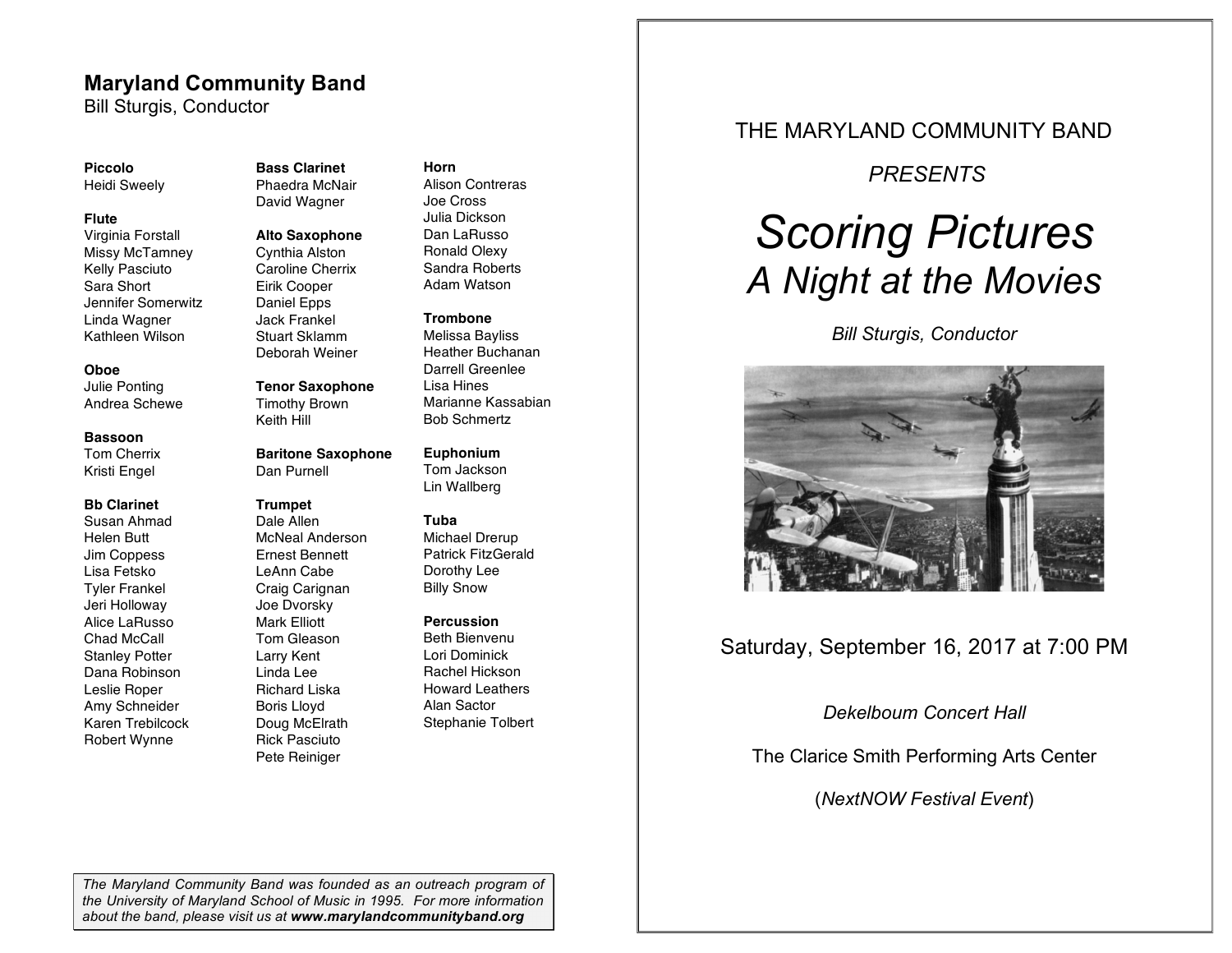### **Maryland Community Band**

Bill Sturgis, Conductor

#### **Piccolo**

Heidi Sweely

#### **Flute**

Virginia Forstall Missy McTamney Kelly Pasciuto Sara Short Jennifer Somerwitz Linda Wagner Kathleen Wilson

#### **Oboe**

Julie Ponting Andrea Schewe

### **Bassoon**

Tom Cherrix Kristi Engel

#### **Bb Clarinet**

Susan Ahmad Helen Butt Jim Coppess Lisa Fetsko Tyler Frankel Jeri Holloway Alice LaRusso Chad McCall Stanley Potter Dana Robinson Leslie Roper Amy Schneider Karen Trebilcock Robert Wynne

#### **Bass Clarinet** Phaedra McNair David Wagner

**Alto Saxophone**

Cynthia Alston

Caroline Cherrix Eirik Cooper Daniel Epps Jack Frankel Stuart Sklamm Deborah Weiner

#### **Tenor Saxophone**

Timothy Brown Keith Hill

#### **Baritone Saxophone** Dan Purnell

#### **Trumpet**

Dale Allen McNeal Anderson Ernest Bennett LeAnn Cabe Craig Carignan Joe Dvorsky Mark Elliott Tom Gleason Larry Kent Linda Lee Richard Liska Boris Lloyd Doug McElrath Rick Pasciuto Pete Reiniger

#### **Horn**

Alison Contreras Joe Cross Julia Dickson Dan LaRusso Ronald Olexy Sandra Roberts Adam Watson

#### **Trombone**

Melissa Bayliss Heather Buchanan Darrell Greenlee Lisa Hines Marianne Kassabian Bob Schmertz

### **Euphonium**

Tom Jackson Lin Wallberg

#### **Tuba**

Michael Drerup Patrick FitzGerald Dorothy Lee Billy Snow

#### **Percussion**

Beth Bienvenu Lori Dominick Rachel Hickson Howard Leathers Alan Sactor Stephanie Tolbert

### THE MARYLAND COMMUNITY BAND

### *PRESENTS*

# *Scoring Pictures A Night at the Movies*

*Bill Sturgis, Conductor*



## Saturday, September 16, 2017 at 7:00 PM

*Dekelboum Concert Hall*

The Clarice Smith Performing Arts Center

(*NextNOW Festival Event*)

*The Maryland Community Band was founded as an outreach program of the University of Maryland School of Music in 1995. For more information about the band, please visit us at www.marylandcommunityband.org*